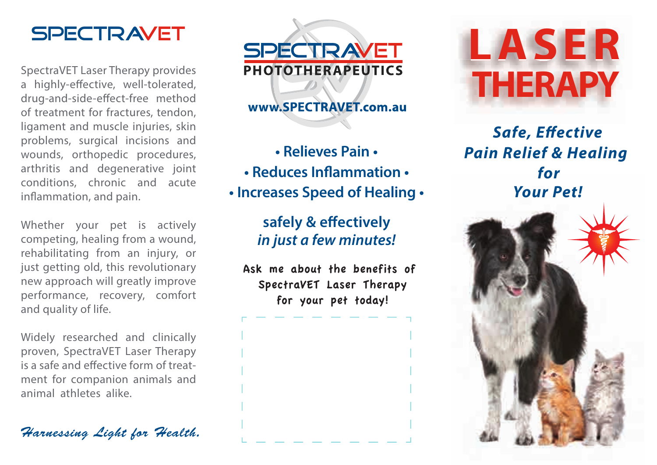

SpectraVET Laser Therapy provides a highly-effective, well-tolerated, drug-and-side-effect-free method of treatment for fractures, tendon, ligament and muscle injuries, skin problems, surgical incisions and wounds, orthopedic procedures, arthritis and degenerative joint conditions, chronic and acute inflammation, and pain.

Whether your pet is actively competing, healing from a wound, rehabilitating from an injury, or just getting old, this revolutionary new approach will greatly improve performance, recovery, comfort and quality of life.

Widely researched and clinically proven, SpectraVET Laser Therapy is a safe and effective form of treatment for companion animals and animal athletes alike.

*Harnessing Light for Health.*



## www.SPECTRAVET.com.au

**• Relieves Pain •** • Reduces Inflammation • **• Increases Speed of Healing •**

## safely & effectively *in just a few minutes!*

Ask me about the benefits of SpectraVET Laser Therapy for your pet today!



**Safe, Effective** *Pain Relief & Healing for Your Pet!*